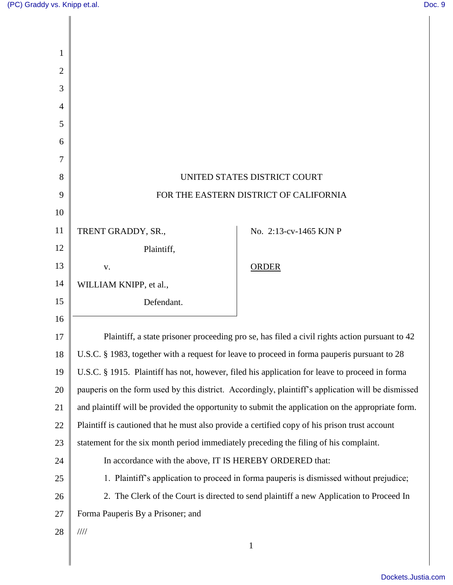| 1              |                                                                                                    |                        |  |
|----------------|----------------------------------------------------------------------------------------------------|------------------------|--|
| $\overline{2}$ |                                                                                                    |                        |  |
| 3              |                                                                                                    |                        |  |
| 4              |                                                                                                    |                        |  |
| 5              |                                                                                                    |                        |  |
| 6              |                                                                                                    |                        |  |
| 7              |                                                                                                    |                        |  |
| 8              | UNITED STATES DISTRICT COURT                                                                       |                        |  |
| 9              | FOR THE EASTERN DISTRICT OF CALIFORNIA                                                             |                        |  |
| 10             |                                                                                                    |                        |  |
| 11             | TRENT GRADDY, SR.,                                                                                 | No. 2:13-cv-1465 KJN P |  |
| 12             | Plaintiff,                                                                                         |                        |  |
| 13             | V.                                                                                                 | <b>ORDER</b>           |  |
| 14             | WILLIAM KNIPP, et al.,                                                                             |                        |  |
| 15             | Defendant.                                                                                         |                        |  |
| 16             |                                                                                                    |                        |  |
| 17             | Plaintiff, a state prisoner proceeding pro se, has filed a civil rights action pursuant to 42      |                        |  |
| 18             | U.S.C. § 1983, together with a request for leave to proceed in forma pauperis pursuant to 28       |                        |  |
| 19             | U.S.C. § 1915. Plaintiff has not, however, filed his application for leave to proceed in forma     |                        |  |
| 20             | pauperis on the form used by this district. Accordingly, plaintiff's application will be dismissed |                        |  |
| 21             | and plaintiff will be provided the opportunity to submit the application on the appropriate form.  |                        |  |
| 22             | Plaintiff is cautioned that he must also provide a certified copy of his prison trust account      |                        |  |
| 23             | statement for the six month period immediately preceding the filing of his complaint.              |                        |  |
| 24             | In accordance with the above, IT IS HEREBY ORDERED that:                                           |                        |  |
| 25             | 1. Plaintiff's application to proceed in forma pauperis is dismissed without prejudice;            |                        |  |
| 26             | 2. The Clerk of the Court is directed to send plaintiff a new Application to Proceed In            |                        |  |
| 27             | Forma Pauperis By a Prisoner; and                                                                  |                        |  |
| 28             | $\frac{1}{1}$<br>$\mathbf{1}$                                                                      |                        |  |
|                |                                                                                                    |                        |  |